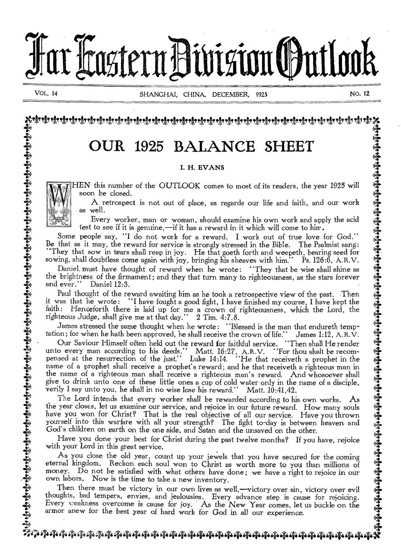

+ 4.

# the SHEET OUR 1925 BALANCE SHEET

## $\sum_{i=1}^{n}$  is the set of  $\sum_{i=1}^{n}$  in  $\sum_{i=1}^{n}$  in  $\sum_{i=1}^{n}$  is the set of  $\sum_{i=1}^{n}$  in  $\sum_{i=1}^{n}$  is the set of  $\sum_{i=1}^{n}$  is the set of  $\sum_{i=1}^{n}$  is the set of  $\sum_{i=1}^{n}$  is the set of  $\sum_{i=1}^{n}$

 $\frac{1}{2}$  . The EVANS of the set of the set of the set of the set of the set of the set of the set of the set of the set of the set of the set of the set of the set of the set of the set of the set of the set of the set o  $\mathbf{H}$  **IF IN this number of the OUTLOOK** comes to most of its readers, the year 1925 will  $\ddot{\mathbf{A}}$  $\mathbf{W}$  HEN this number of the OUTLOOK comes to most of its readers, the year 1925 will soon be closed.

n be closed.<br>A retrospect is not out of place, as regards our life and faith, and our work 4 A retrospect is not out or place, as regards our life and lattn, and our work<br>as well.

 $\begin{array}{cc} \bullet & \bullet & \bullet & \bullet \bullet \ \bullet & \bullet & \bullet \end{array}$  Every worker, man or woman, should examine his own work and apply the acid  $\begin{array}{cc} \bullet & \bullet & \bullet \ \bullet & \bullet & \bullet \end{array}$ 4 test to see if it is genuine,—if it has a reward in it which will come to him.

Some people say, "I do not work for a reward in it which will come to him.<br>Be that as it may, the reward for service is strongly stressed in the Bible. The Psalmist sang:<br>"They that sow in tears shall reap in joy. He that Every worker, man or woman, should examine his own work and apply the acid<br>
test to see if it is genuine,—if it has a reward in it which will come to him.<br>
Some people say, "I do not work for a reward. I work out of true l

4 and ever." Daniel 12:3. 4

and ever. Daniel 12:3.<br>
Paul thought of the reward awaiting him as he took a retrospective view of the past. Then<br>
it was that he wrote: "I have fought a good fight, I have finished my course, I have kept the<br>
faith: Hence Faul thought of the reward awaiting him as he took a retrospective view of the past. Then<br>it was that he wrote: "I have fought a good fight, I have finished my course, I have kept the<br>faith: Henceforth there is laid up for the brightness of the firmament; and they that turn many to righteousness, as the stars forever<br>and ever.'' Daniel 12:3.<br>Paul thought of the reward awaiting him as he took a retrospective view of the past. Then<br>it was that

tation; for when he hath been approved, he shall receive the crown of life.'' James 1:12, A.R.V.<br> $\sum_{n=1}^{\infty}$  Our Saviour Himself often held out the reward for faithful service. "Then shall He render  $\bullet$  Uur Saviour Himself often held out the reward for faithful service. "Then shall He render" unto every man according to his deeds." Matt. 16:27, A.R.V. "For thou shalt be recom-*4* pensed at the resurrection of the just.'' Matt. 16:27, A.R.V. "For thou shalt be recom-<br> **4** pensed at the resurrection of the just.'' Luke 14:14. "He that receiveth a prophet in the 44  $\epsilon$  name of a prophet shall receive a prophet's reward; and he that receive the a righteous man in  $\epsilon$  the name of a righteous man shall receive a righteous man's reward. And whosoever shall the name of a righteous man shall receive a righteous man's reward. And whosoever shall<br>give to drink unto one of these little ones a cup of cold water only in the name of a disciple,<br>verily I say unto you, he shall in no

F verily I say unto you, he shall in no wise lose his reward." Matt.  $10:41,42$ .<br>The Lord intends that every worker shall be rewarded according to his own works. As  $\frac{4}{3}$ The Lord intends that every worker shall be rewarded according to his own works. As<br>the year closes, let us examine our service, and rejoice in our future reward. How many souls  $\frac{1}{2}$ <br>have you won for Christ? That is the year closes, let us examine our service, and rejoice in our future reward. How many souls<br>4 have you won for Christ? That is the real objective of all our service. Have you thrown 4  $\epsilon$  in the set of the state is the state of the set of the set of the set of the set of the set of the set of the set of the set of the set of the set of the set of the set of the set of the set of  $\epsilon$  and  $\epsilon$  and  $\epsilon$ God's children on earth on the one side, and Satan and the unsaved on the other.<br>Have you done your best for Christ during the past twelve months? If you have, rejoice

With your done your best for Christ during the past twelve months? If you have, rejoice<br>with your Lord in this great service.<br>As you close the old year, count up your jewels that you have secured for the coming<br>eternal kin  $\begin{matrix} \bullet \\ \bullet \\ \bullet \end{matrix}$  eternal kingdom. Reckon each soul won to Christ as worth more to you than millions of money. Do not be satisfied with what others have done; we have a right to rejoice in our  $\frac{4}{3}$  own labors. Now is the time to take a new inventory.<br>Then there must be victory in our own lives as well without axes in without such and  $\frac{3}{3}$ . For the year coses, let us examine our service, and reported in our nurture reward. Thow many yourself into this warfare with all your strength? The fight to-day is between heave God's children on earth on the one side, an

Then there must be victory in our own lives as well,—victory over sin, victory over evil<br>thoughts, bad tempers, envies, and jealousies. Every advance step is cause for rejoicing.<br>Every veakness overcome is cause for joy. Every weakness overcome is cause for joy. As the New Year comes, let us buckle on the armor anew for the best year of hard work for God in all our experience. armor anew for the best year of hard work for God in all our experience.<br> $\frac{3}{4}$ 

## $\ddot{\tilde{\mathcal{F}}}$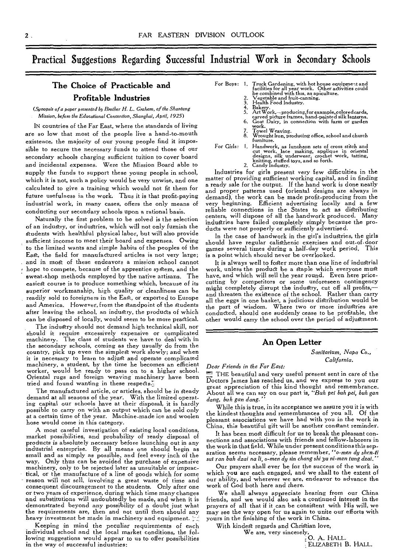### Practical Suggestions Regarding Successful Industrial Work in Secondary Schools

#### **The Choice of Practicable and Profitable Industries**

*(Synopsis of a paper presented bt Brother H. L. Graham, of the Shantung Mission,* before the *Educational* Convention, *Shanghai, April, 1925)* 

IN countries of the Far East, where the standards of living are so low that most of the people live a hand-to-mouth existence, the majority of our young people find it impossible to secure the necessary funds to attend those of our secondary schools charging sufficient tuition to cover board and incidental expenses. Were the Mission Board able to supply the funds to support these young people in school, which it is not, such a policy would be very unwise, and one calculated to give a training which would not fit them for future usefulness in the work. Thus it is that profit-paying industrial work, in many cases, offers the only means of conducting our secondary schools upon a rational basis.

Naturally the first problem to be solved is the selection of an industry, or industries, which will not only furnish the students with healthful physical labor, but will also provide sufficient income to meet their board and expenses. Owing to the limited wants and simple habits of the peoples of the East, the field for manufactured articles is not very large; and in most of these endeavors a mission school cannot hope to compete, because of the apprentice system, and the sweat-shop methods employed by the native artisans. The easiest course is to produce something which, because of its superior workmanship, high quality or cleanliness can be readily sold to foreigners in the East, or exported to Europe and America. However, from the standpoint of the students after leaving the school, an industry, the products of which can be disposed of locally, would seem to be more practical.

The industry should not demand high technical skill, nor should it require excessively expensive or complicated machinery. The class of students we have to deal with in the secondary schools, coming as they usually do from the country, pick up even the simplest work slowly; and when it is necessary to learn to adjust and operate complicated machinery, a student, by the time he becomes an efficient worker, would be ready to pass on to a higher school. Oriental rugs and foreign weaving machinery have been tried and found wanting in these respects.

The manufactured article, or articles, should be in steady demand at all seasons of the year. With the limited operating capital our schools have at their disposal, it is hardly possible to carry on with an output which can be sold only at a certain time of the year. Machine-made ice and woolen hose would come in this category.

A most careful investigation of existing local conditions, market possibilities, and probability of ready disposal of products is absolutely necessary before launching out in any industrial enterprise. By all means one should begin as small and as simply as possible, and feel every inch of the way. Only thus can be avoided the purchase of expensive machinery, only to be rejected later as unsuitable or impractical, or the manufacture of a line of goods which for some reason will not sell, involving a great waste of time and consequent discouragement to the students. Only after one or two years of experience, during which time many changes and substitutions will undoubtedly be made, and when it is demonstrated beyond any possibility of a doubt just what the requirements are, then and not until then should any heavy investment be made in machinery and equipment.

Keeping in mind the peculiar requirements of each individual school and the local market conditions, the following suggestions would appear to us to offer possibilities in the way of successful industries:

- For Boys: 1. Truck Gardening, with hot house equipment and<br>facilities for all year work. Other activities could<br>be combined with this, as apiculture.<br>2. Vegetable and fruit-canning.
	-
	-
	-
	- 3. Health Food Industry.<br>4. Bakery. .<br>5. Art Work,—producing,for example,colored carved picture frames, hand-painted silk lanterns.<br>6. Goat Dairy, in connection with farm or garden
	-
	-
	- 7. Towel Weaving. 8. Wrought Iron, producing office, school and church furniture.
- For Girls: I. Handwork, as luncheon sets of cross stitch and cut work, lace making, applique in oriental designs, silk underwear, crochet work, tatting, knitting, stuffed toys, and so forth. 2. Candy Industry.

Industries for girls present very few difficulties in the matter of providing sufficient working capital, and in finding a ready sale for the output. If the hand work is done neatly and proper patterns used (oriental designs are always in demand), the work can be made profit-producing from the very beginning. Efficient advertising locally and a few reliable connections in the States to act as distributing centers, will dispose of all the handwork produced. Many industries have failed completely simply because the products were not properly or sufficiently advertised.

In the case of handwork in the girl's industries, the girls should have regular calisthenic exercises and out-of-door games several times during a half-day work period. This is a point which should never be overlooked.

It is always well to foster more than one line of industrial work, unless the product be a staple which everyone mug have, and which will sell the year round. Even here pricecutting by competitors or some unforeseen contingency might completely disrupt the industry, cut off all profits,— and threaten the exigence of the school. Rather than carry all the eggs in one basket, a judicious distribution would be the part of wisdom. Where two or more industries are conducted, should one suddenly cease to be profitable, the other would carry the school over the period of adjustment.

#### **An Open Letter**

*Sanitarium, Napa Co., California.* 

#### *Dear Friends in the Far East:*

THE beautiful and very useful present sent *in* care of the Doctors James has reached us, and we express to you our great appreciation of this kind thought and remembrance. About all we can say on our part is, *"Buh* pei *buh pei, buh gan*   $d$ ang, buh gan dang.

While this is true, in its acceptance we assure you it is with the kindest thoughts and remembrances of you all. Of the pleasant associations we have had with you in the work in China, this beautiful gift will be another constant reminder.

It has been most difficult for us to break the pleasant connections and associations with friends and fellow-laborers in the work in that field. While under present conditions this separation seems necessary, please remember, *"o-men dy shen-ti sui ran buh dzai na li*, *0-men dy sin chang shi yu ni-men lung dzai."* 

Our prayers shall ever be for the success of the work in which you are each engaged, and we shall to the extent of our ability, and wherever we are, endeavor to advance the work of God both here and there.

We shall always appreciate hearing from our China friends, and we would also ask a continued interest in the prayers of all that if it can be consistent with His will, we may see the way open for us again to unite our efforts with yours in the finishing of the work in China.

With kindest regards and Christian love,

We are, very sincerely,  $\bigcirc$ . A. HALL.

ELIZABETH B. HALL.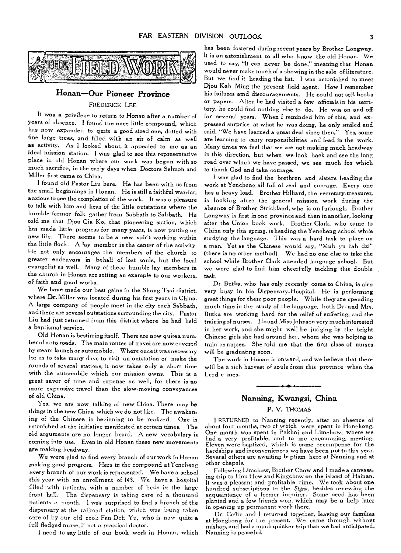

#### **Honan—Our Pioneer Province**

#### FREDERICK LEE

It was a privilege to return to Honan after a number of years of absence. I found the once little compound, which has now expanded to quite a good sized one, dotted with fine large trees, and filled with an air of calm as well as activity. As I looked about, it appealed to me as an ideal mission station. I was glad to see this representative place in old Honan where our work was begun with so much sacrifice, in the early days when Doctors Selmon and Miller first came to China.

I found old Pastor Liu here. He has been with us from the small beginnings in Honan. He is still a faithful warrior, anxious to see the completion of the work. It was a pleasure to talk with him and hear of the little outstations where the humble farmer folk gather from Sabbath to Sabbath. He told me that Djou Gia Ko, that pioneering station, which has made little progress for many years, is now putting on new life. There seems to be a new spirit working within the little flock. A lay member is the center of the activity. He not only encourages the members of the church to greater endeavors in behalf of lost souls, but the local evangelist as well. Many of these humble lay members in the church in Honan are setting an example to our workers, of faith and good works.

We have made our best gains in the Shang Tsai district, where Dr. Miller was located during his first years in China. A large company of people meet in the city each Sabbath, and there are several outstations surrounding the city. Pastor Liu had just returned from this district where he had held a baptismal service.

Old Honan is bestirring itself. There are now quitea num.. ber of auto roads. The main routes of travel are now covered by steam launch or automobile. Where once it was necessary for us to take many days to visit an outstation or make the rounds of several stations, it now takes only a short time with the automobile which our mission owns. This is a great saver of time and expense as well, for there is no more expensive travel than the slow-moving conveyances of old China.

Yes, we are now talking of new China. There may be things in the new China which we do not like. The awakening of the Chinese is beginning to be realized. One is astonished at the initiative manifested at certain times. The old arguments are no longer heard. A new vocabulary is coming into use. Even in old Honan these new movements are making headway.

We were glad to find every branch of our work in Honan making good progress. Here in the *compound* at Yencheng every branch of our work is represented. We have a school this year with an enrollment of 143. We have a hospital filed with patients, with a number of beds in the large front hall. The dispensary is taking care of a thousand patients a month. I was surprised to find a branch of the dispensary at the railroad station, which was being taken care of by our old cook Fan Deh Yu, who is now quite *a*  full fledged nurse, if not a practical doctor.

I need to say little of our book work in Honan, which

has been fostered during recent years by Brother Longway. It is an astonishment to all who know the old Honan. We used to say, "It can never be done," meaning that Honan would never make much of a showing in the sale of literature. But we find it heading the list. I was astonished to meet Djou Keh Ming the present field agent. How I remember his failures amd discouragements. He could not *sell* books or papers. After he had visited a few officials in his territory, he could find nothing else to do. He was on and off for several years. When I reminded him of this, and expressed surprise at what he was doing, he only smiled and said, "We have learned a great deal since then." Yes, some are learning to carry responsibilities and lead in the work. Many times we feel that we are not making much headway in this direction, but when we look back and see the long road over which we have passed, we see much for which to thank God and take courage.

I was glad to find the brethren and sisters heading the work at Yencheng all full of zeal and courage. Every one has a heavy load. Brother Hilliard, the secretary-treasurer, is looking after the general mission work during the absence of Brother Strickland, who is on furlough. Brother Longway is first in one province and then in another, looking after the Union book work. Brother Clark, who came to China only this spring, is heading the Yencheng school while studying the language. This was a hard task to place on a man. Yet as the Chinese would say, "Muh yu fah dzi" (there is no other method). We had no one else to take the school while Brother Clark attended language school. But we were glad to find him cheerfully tackling this double task.

Dr. Butka, who has only recently come to China, is also very busy in his Dispensary-Hospital. He is performing great things for these poor people. While they are spending much time in the study of the language, both Dr. and Mrs. Butka are working hard for the relief of suffering, and the training of nurses. I found Miss Johnson very much interested in her work, and she might well be judging by the bright Chinese girls she had around her, whom she was helping to train as nurses. She told me that the first class of nurses will be graduating soon.

The work in Honan is onward, and we believe that there will be a rich harvest of souls from this province when the Lord c mes.

#### **Nanning, Kwangsi, China**

#### P. V. THOMAS

I RETURNED to Nanning recently, after an absence of about four months, two of which were spent in Hongkong. One month was spent in Pakhoi and Limchow, where we had a very profitable, and to me encouraging, meeting. Eleven were baptized, which is some recompense for the hardships and inconveniences we have been put to this year. Several others are awaiting b: ptism here at Nanning and At other chapels.

Following Limchow, Brother Chow and I made a canvassing trip to Hou How and Kingchow on the island of Hainan. It was a pleasant and profitable time. We took about one hundred subscriptions to the *Signs,* besides renewing the acquaintance of a former inquirer. Some seed has been planted and a few friends won, which may be *a* help later in opening up permanent work there.

Dr. Coffin and I returned together, leaving our families at Hongkong for the present. We came through without mishap, and had a much quicker trip than we had anticipated. Nanning is peaceful.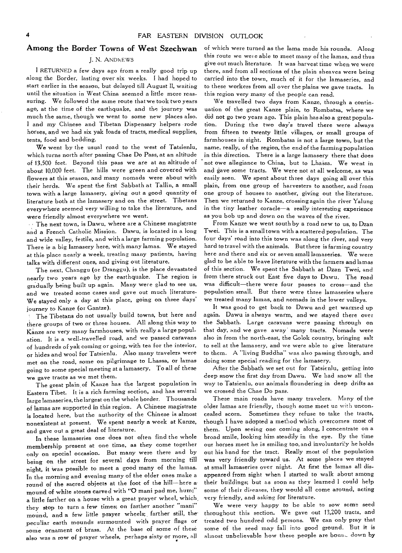#### Among the Border Towns of West Szechwan

#### J. N. ANDREWS

I RETURNED a few days ago from a really good trip up along the Border, lasting over six weeks. I had hoped to start earlier in the season, but delayed till August II, waiting until the situation in West China seemed a little more reassuring. We followed the same route that we took two years ago, at the time of the earthquake, and the journey was much the same, though we went to some new places also. I and my Chinese and Tibetan Dispensary helpers rode horses, and we had six yak loads of tracts, medical supplies, tents, food and bedding.

We went by the usual road to the west of Tatsienlu, which turns north after passing Chae Do Pass, at an altitude of 13,500 feet. Beyond this pass we are at an altitude of about 10,000 feet. The hills were green and covered with flowers at this season, and many nomads were about with their herds. We spent the first Sabbath at Tallin, a small town with a large lamasery, giving out a good quantity of literature both at the lamasery and on the street. Tibetans everywhere seemed very willing to take the literature, and were friendly almost everywhere we went.

The next town, is Dawu, where are a Chinese magistrate and a French Catholic Mission. Dawu, is located in a long and wide valley, fertile, and with a large farming population. There is a big lamasery here, with many lamas. We stayed at this place nearly a week, treating many patients, having talks with different ones, and giving out literature.

The next, Changgu (or Dranggu), is the place devastated nearly two years ago by the earthquake. The region is gradually being built up again. Many were glad to see us, and we treated some cases and gave out much literature-We stayed only a day at this place, going on three days' journey to Kanze (or Gantze).

The Tibetans do not usually build towns, but here and there groups of two or three houses. All along this way to  $\rm{K}$ anze are very many farmhouses, with really a large population. It is a well-travelled road, and we passed caravans of hundreds of yak coming or going, with tea for the interior, or hides and wool for Tatsienlu. Also many travelers were met on the road, some on pilgrimage to Lhassa, or lamas going to some special meeting at a lamasery. To all of these we gave tracts as we met them.

The great plain of Kanze has the largest population in Eastern Tibet. It is a rich farming section, and has several large lamaseries, the largest on the whole border. Thousands of lamas are supported in this region. A Chinese magistrate is located here, but the authority of the Chinese is almost nonexistent at present. We spent nearly a week at Kanze, and gave out a great deal of literature.

In these lamaseries one does not often find the whole membership present at one time, as they come together only on special occasion. But many were there and by being on the street for several days from morning till night, it Was possible to meet a good many of the lamas. In the morning and evening many of the older ones make a round of the sacred objects at the foot of the hill—here a mound of white stones carved with "O mani pad me, hum;" a little farther on a house with a great prayer wheel, which they stop to turn a few times; on farther another "mani" mound, and a few little prayer wheels; farther still, thepeculiar earth mounds surmounted with prayer flags or some ornament of brass. At the base of some of these also was a row of prayer wheels, perhaps sixty or more, all

of which were turned as the lama made his rounds. Along this route we wei e able to meet many of the lamas, and thus give out much literature. It was harvest time when we were there, and from all sections of the plain sheaves were being carried into the town, much of it for the lamaseries, and to these workers from all over the plains we gave tracts. In this region very many of the people can read.

We travelled two days from Kanze, through a continuation of the great Kanze plain, to Rombatsa, where we did not go two years ago. This plain has also a great population. During the two day's travel there were always from fifteen to twenty little villages, or small groups of farmhouses in sight. Rombatsa is not a large town, but the name, really, of the region, the end of the farming population in this direction. There is a large lamasery there that does not owe allegiance to China, but to Lhassa. We went in and gave some tracts. We were not at all welcome, as was easily seen. We spent about three days going all over this plain, from one group of harvesters to another, and from one group of houses to another, giving out the literature. Then we returned to Kanze, crossing again the river Yalung in the tiny leather coracle—a really interesting experience as you bob up and down on the waves of the river.

From Kanze we went south by a road new to us, to Dzan Twei. This is a small town with a scattered population. The four days' road into this town was along the river, and very hard to travel with the animals. But there is farming country here and there and six or seven small lamaseries. We were glad to be able to leave literature with the farmers and lamas of this section. We spent the Sabbath at Dzan Twei, and from there struck out East five days to Dawu. The road was difficult—there were four passes to cross—and the population small. But there were three lamaseries where we treated many lamas, and nomads in the lower valleys.

It was good to get back to Dawu and get warmed up again. Dawu is always warm, and we stayed there over the Sabbath. Large caravans were passing through on that day, and we gave away many tracts. Nomads were also in from the north-east, the Golok country, bringing salt to sell at the lamasery, and we were able to give literature to them. A "living Buddha" was also passing through, and doing some special reading for the lamasery.

After the Sabbath we set out for Tatsienlu, getting into deep snow the first day from Dawu. We had snow all the way to Tatsienlu, our animals floundering in deep drifts as we crossed the Chae Do pass.

These main roads have many travelers. Many of the older lamas are friendly, though some meet us with unconcealed scorn. Sometimes they refuse to take the tracts, though I have adopted a method which overcomes most of them. Upon seeing one coming along, I concentrate on a broad smile, looking him steadily in the eye. By the time our horses meet he is smiling too, and involuntarily he holds out his hand for the tract. Really most of the population was very friendly toward us. At some places we stayed at small lamaseries over night. At first the lamas all disappeared from sight when I started to walk about among their buildings; but as soon as they learned I could help some of their diseases, they would all come around, acting very friendly, and asking for literature.

We were very happy to be able to sow some seed throughout this section. We gave out 13,200 tracts, and treated two hundred odd persons. We can only pray that some of the seed may fall into good ground. But it is almost unbelievable how these people are boun- down by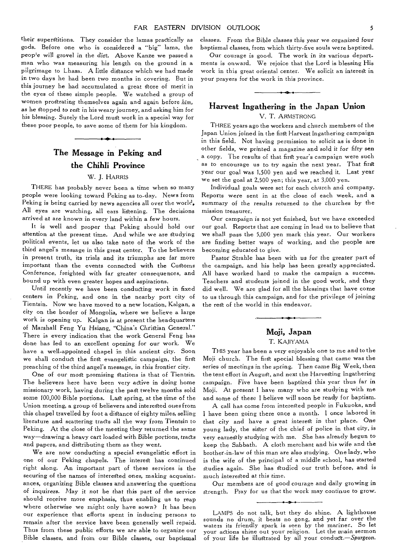their superstitions. They consider the lamas practically as gods. Before one who is considered a "big" lama, the people will grovel in the dirt. Above Kanze we passed a man who was measuring his length on the ground in a pilgrimage to Lhasa. A little distance which we had made in two days he had been two months in covering. But in this journey he had accumulated a great store of merit in the eyes of these simple people. We watched a group of women prostrating themselves again and again before *him,*  as he stopped to rest in his weary journey, and asking him for his blessing. Surely the Lord must work in a special way for these poor people, to save some of them for his kingdom.

## **The Message in Peking and the Chihli Province**

#### W. J. HARRIS

THERE has probably never been a time when so many people were looking toward Peking as to-day. News from Peking is being carried by news agencies all over the world. All eyes are watching, all ears listening. The decisions arrived at are known in every land within a few hours.

It is well and proper that Peking should hold our attention at the present time. And while we are studying political events, let us also take note of the work of the third angel's message in this great center. To the believers in present truth, its trials and its triumphs are far more important than the events connected with the Customs Conference, freighted with far greater consequences, and bound up with even greater hopes and aspirations.

Until recently we have been conducting work in fixed centers in Peking, and one in the nearby port city of Tientsin. Now we have moved to a new location, Kalgan, a city on the border of Mongolia, where we believe a large work is opening up. Kalgan is at present the headquarters of Marshall Feng Yu Hsiang, "China's Christian General." There is every indication that the work General Feng has done has led to an excellent opening for our work. We have a well-appointed chapel in this ancient city. Soon we shall conduct the first evangelistic campaign, the first preaching of the third angel's message, in this frontier city.

One of our most promising stations is that of Tientsin. The believers here have been very active in doing home missionary work, having during the pad twelve months sold some 100,000 Bible portions. Last spring, at the time of the Union meeting, a group of believers and interested ones from this chapel travelled by foot a distance of eighty miles, selling literature and scattering tracts all the way from Tientsin to Peking. At the close of the meeting they returned the same way—drawing a heavy cart loaded with Bible portions, tracts and papers, and distributing them as they went.

We are now conducting a special evangelistic effort in one of our Peking chapels. The interest has continued right along. An important part of these services is the securing of the names of interested ones, making acquaintances, organizing Bible classes and answering the questions of inquirers. May it not be that this part of the service should receive more emphasis, thus enabling us to reap where otherwise we might only have sown? It has been our experience that efforts spent in inducing persons to remain after the service have been generally well repaid. Thus from these public efforts we are able to organize our Bible classes, and from our Bible classes, our baptismal

*classes.* From the Bible classes this year we organized *four*  baptismal classes, from which thirty-five souls were baptized.

Our courage is good. The work in its various departments is onward. We rejoice that the Lord is blessing His work in this great oriental center. We solicit an interest in your prayers for the work in this province.

#### **Harvest Ingathering in the Japan Union**  V. T. ARMSTRONG

THREE years ago the workers and church members of the Japan Union joined in the first Harvest Ingathering campaign in this field. Not having permission to solicit as is done in other fields, we printed a magazine and sold it for *fifty sen*  a copy. The results of that first year's campaign were such as to encourage us to try again the next year. That first year our goal was 1,500 yen and we reached it. Last year we set the goal at 2,500 yen; this year, at 3,000 yen.

Individual goals were set for each church and company. Reports were sent in at the close of each week, and a summary of the *results* returned to the churches by the mission treasurer.

Our campaign is not yet finished, but we have exceeded our goal. Reports that are coming in lead us to believe that we shall pass the 5,000 yen mark this year. Our workers are finding better ways of working, and the people are becoming educated to give.

Pastor Strahle has been with us for the greater part of the campaign, and his help has been greatly appreciated. All have worked hard to make the campaign a success. Teachers and students joined in the good work, and they did well. We are glad for all the blessings that have come to us through this campaign, and for the privilege of joining the rest of the world in this endeavor.

#### **Moji, Japan**  T. KAJIYAMA

THIS year has been a very enjoyable one to me and to the Moji church. The first special blessing that came was the series of meetings in the spring. Then came Big Week, then the tent effort in August, and next the Harvesting Ingathering campaign. Five have been baptized this year thus far in Moji. At present I have many who are studying with me and some of these I believe will soon be ready for baptism.

A call has come from interested people in Fukuoka, and I have been going there once a month. I once labored in that city and have a great interest in that place. One young lady, the sister of the chief of police in that city, is very earnestly studying with me. She has already begun to keep the Sabbath. A cloth merchant and his wife and the brother-in-law of this man are also studying. One lady, who is the wife of the principal of a middle school, has started studies again. She has studied our truth before, and is much interested at this time.

Our members are of good courage and daily growing in strength. Pray for us that the work may continue to grow.

LAMPS do not talk, but they do shine. A lighthouse sounds no drum, it beats no gong, and yet far over the waters its friendly spark is seen by the mariner. So let your actions shine out your religion. Let the main sermon of your life be illustrated by all your conduct *—Spurgeon.*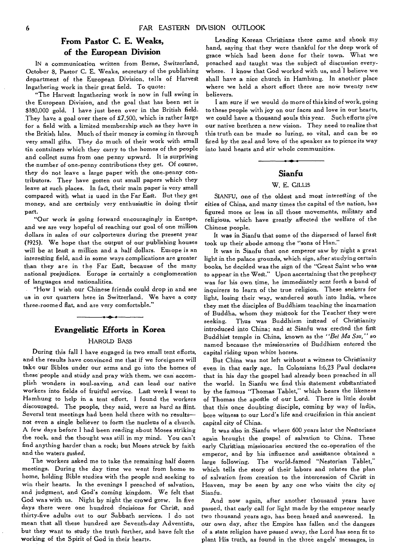#### **From Pastor C. E. Weaks, of the European Division**

IN a communication written from Berne, Switzerland, October 8, Pastor C. E. Weaks, secretary of the publishing department of the European Division, tells of Harvest Ingathering work in their great field. To quote:

"The Harvest Ingathering work is now in full swing in the European Division, and the goal that has been set is \$180,000 gold. I have just been over in the British field. They have a goal over there of £7,500, which is rather large for a field with a limited membership such as they have in the British Isles. Much of their money is coming in through very small gifts. They do much of their work with small tin containers which they carry to the homes of the people and collect sums from one penny upward. It is surprising the number of one-penny contributions they get. Of course, they do not leave a large paper with the one-penny contributors. They have gotten out small papers which they leave at such places. In fact, their main paper is very small compared with what is used in the Far East. But they get money, and are certainly very enthusiastic in doing their part.

"Our work is going forward encouragingly in Europe, and we are very hopeful of reaching our goal of one million dollars in sales of our colporteurs during the present year (1925). We hope that the output of our publishing houses will be at least a million and a half dollars. Europe is an interesting field, and in some ways complications are greater than they are in the Far East, because of the many national prejudices. Europe is certainly a conglomeration of languages and nationalities.

"How I wish our Chinese friends could drop in and see us in our quarters here in Switzerland. We have a cozy three-roomed flat, and are very comfortable."

#### **Evangelistic Efforts in Korea**

#### HAROLD BASS

During this fall I have engaged in two small tent efforts, and the results have convinced me that if we foreigners will take our Bibles under our arms and go into the homes of these people and study and pray with them, we can accomplish wonders in soul-saving, and can lead our native workers into fields of fruitful service. Last week I went to Hamhung to help in a tent effort. I found the workers discouraged. The people, they said, were as hard as flint. Several tent meetings had been held there with no results not even a single believer to form the nucleus of a church. A few days before I had been reading about Moses striking the rock, and the thought was still in my mind. You can't find anything harder than a rock; but Moses struck by faith and the waters *gushed.* 

The workers asked me to take the remaining half dozen meetings. During the day time we went from home to home, holding Bible studies with the people and seeking to win their hearts. In the evenings I preached of salvation, and judgment, and God's coming kingdom. We felt that God was with us. Night by night the crowd grew. In five days there were one hundred decisions for Christ, and thirty-five adults out to our Sabbath services. I do not mean that all these hundred are Seventh-day Adventists, but they want to study the truth further, and have felt the working of the Spirit of God in their hearts.

Leading Korean Christians there came and shook my hand, saying that they were thankful for the deep work of grace which had been done for their town. What we preached and taught was the subject of discussion everywhere. I know that God worked with us, and I believe we shall have a nice church in Hamhung. In another place where we held a short effort there are now twenty new believers.

I am sure if we would do more of this kind of work, going to these people with joy on our faces and love in our hearts, we could have a thousand souls this year. Such efforts give our native brethren a new vision. They need to realize that this truth can be made so luring, so vital, and can be so fired by the zeal and love of the speaker as to pierce its way into hard hearts and stir whole communities.

#### **Sianfu**

#### W. E. GILLIS

SIANFU, one of the oldest and most interesting of the cities of China, and many times the capital of the nation, has figured more or less in all those movements, military and religious, which have greatly affected the welfare of the Chinese people.

It was in Sianfu that some of the dispersed of Israel first took up their abode among the "sons of Han."

It was in Sianfu that one emperor saw by night a great light in the palace grounds, which sign, after studying certain books, he decided was the sign of the "Great Saint who was to appear in the West." Upon ascertaining that the prophecy was for his own time, he immediately sent forth a band of inquirers to learn of the true religion. These seekers for light, losing their way, wandered south into India, where they met the disciples of Buddhism teaching the incarnation of Buddha, whom they mistook for the Teacher they were seeking. Thus was Buddhism instead of Christianity introduced into China; and at Sianfu was erected the first Buddhist temple in China, known as the *"Bei Ma Ssu,"* so named because the missionaries of Buddhism entered the capital riding upon white horses.

But China was not left without a witness to Christianity even in that early age. In Colossians 1:6,23 Paul declares that in his day the gospel had already been preached in all the world. In Sianfu we find this Statement substantiated by the famous "Thomas Tablet," which bears the likeness of Thomas the apostle of our Lord. There is little doubt that this once doubting disciple, coming by way of India, bore witness to our Lord's life and crucifixion in this ancient capital city of China.

It was also in Sianfu where 600 years later the Nestorians again brought the gospel of salvation to China. These early Christian missionaries secured the co-operation of the emperor, and by his influence and assistance obtained a large following. The world-famed "Nestorian Tablet," which tells the story of their labors and relates the plan of salvation from creation to the intercession of Christ in Heaven, may be seen by any one who visits the city of Sianfu.

And now again, after another thousand years have passed, that early call for light made by the emperor nearly two thousand years ago, has been heard and answered. In our own day, after the Empire has fallen and the dangers of a state religion have passed away, the Lord has seen fit to plant His truth, as found in the three angels' messages, in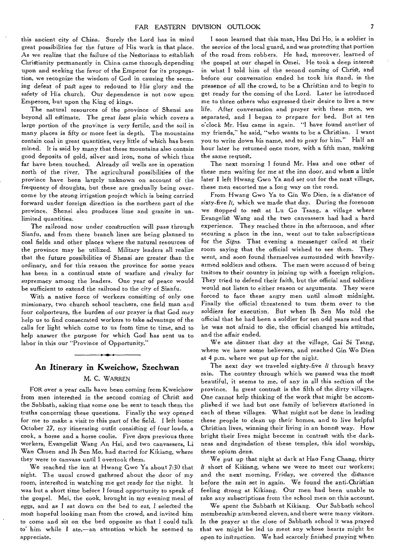this ancient city of China. Surely the Lord has in mind great possibilities for the future of His work in that place. As we realize that the failure of the Nestorians to establish Christianity permanently in China came through depending upon and seeking the favor of the Emperor for its propagation, we recognize the wisdom of God in causing the seeming *defeat* of past ages to redound to His glory and the safety of His church. Our dependence is not now upon Emperors, but upon the King of kings.

The natural resources of the province of Shensi are beyond all estimate. The great *loess* plain which covers a large portion of the province is very fertile, and the soil in many places is fifty or more feet in depth. The mountains contain coal in great quantities, very little of which has been mined. It is said by many that these mountains also contain good deposits of gold, silver and iron, none of which thus far have been touched. Already oil wells are in operation north of the river. The agricultural possibilities of the province have been largely unknown on account of the frequency of droughts, but these are gradually being overcome by the strong irrigation project which is being carried forward under foreign direction in the northern part of the province. Shensi also produces lime and granite in unlimited quantities.

The railroad now under construction will pass through Sianfu, and from there branch lines are being planned to coal fields and other places where the natural resources of the province may be utilized. Military leaders all realize that the future possibilities of Shensi are greater than the ordinary, and for this reason the province for some years has been in a continual state of warfare and rivalry for supremacy among the leaders. One year of peace would be sufficient to extend the railroad to the city of Sianfu.

With a native force of workers consisting of only one missionary, two church school teachers, one field man and four colporteurs, the burden of our prayer is that God may help us to find consecrated workers to take advantage of the calls for light which come to us from time to time, and to help answer the purpose for which God has sent us to labor in this our "Province of Opportunity."

#### **An Itinerary in Kweichow, Szechwan**

#### **M.** C. WARREN

FOR over a year calls have been coming from Kweichow from men interested in the second coming of Christ and the Sabbath, asking that some one be sent to teach them the truths concerning these questions. Finally the way opened for me to make a visit to this part of the field. I left home October 27, my itinerating outfit consisting of four loads, a cook, a horse and a horse coolie. Five days previous three workers, Evangelist Wang An Hsi, and two canvassers, Li Wan Chuen and Ih Sen Mo, had started *for* Kikiang, where they were to canvass until I overtook them.

We reached the inn at Hwang Gwo Ya about 7:30 that night. The usual crowd gathered about the door of my room, interested in watching me get ready for the night. It was but a short time before I found opportunity to speak of the gospel. Mei, the cook, brought in my evening meal of eggs, and *as I* sat down on the bed to eat, I selected the most hopeful looking man from the crowd, and invited him to come and sit on the bed opposite so that I could talk to him while I ate,—an attention which he seemed to appreciate.

I soon learned that this man, Hsu Dzi Ho, is a soldier in the service of the local guard, and was protecting that portion of the road from robbers. He had, moreover, learned of the gospel at our chapel in Omei. He took a deep interest in what I told him of the second coming of Christ, and before our conversation ended he took his stand, in the presence of all the crowd, to be a Christian and to begin to get ready for the coming of the Lord. Later he introduced me to three others who expressed their desire to live a new life. After conversation and prayer with these men, we separated, and I began to prepare for bed. But at ten o'clock Mr. Hsu came in again. "I have found another of my friends," he said, "who wants to be a Christian. I want you to write down his name, and to pray for him." Half an hour later he returned once more, with a fifth man, making the same request.

The next morning I found Mr. Hsu and one other of these *men* waiting for me at the inn door, and when a little later I left Hwang Gwo Ya and set out for the next village, these men escorted me a long way on the road.

From Hwang Gwo Ya to Gin Wo Dien, is a distance of sixty-five *li,* which we made that day. During the forenoon we Stopped to rest at Lu Go Tsang, a village where Evangelist Wang and the two canvassers had had a hard experience. They reached there in the afternoon, and after securing a place in the inn, went out to take subscriptions for the *Signs.* That evening a messenger called at their room saying that the official wished to see them. They went, and soon found themselves surrounded with heavilyarmed soldiers and others. The men were accused of being traitors to their country in joining up with a foreign religion. They tried to defend their faith, but the official and soldiers would not listen to either reason or arguments. They were forced to face these angry men until almost midnight. Finally the official threatened to turn them over to the soldiers *for* execution. But when lh Sen Mo told the official that he had been a soldier for ten odd years and that he was not afraid to die, the official changed his attitude, and the affair ended.

We ate dinner that day at the village, Gai Si Tsang, where we have some believers, and reached Gin Wo Dien at 4 p.m. where we put up for the night.

The next day we traveled eighty-five *li* through heavy rain. The country through which we passed was the most beautiful, it seems to me, of any in all this section of the province. In great contrast is the filth of the dirty villages. One *cannot* help thinking *of* the work that might be accomplished if we had but one family of believers stationed in each of these villages. What might not be done in leading these people to clean up their homes, and to live helpful Christian lives, winning their living in an honest way. How bright their lives might become in contrast with the darkness and degradation of these temples, this idol worship, these opium dens.

We put up that night at dark at Hao Fang Chang, thirty *li* short of Kikiang, where we were to meet our workers; and the next morning, Friday, we covered the distance before the rain set in again. We found the anti-Christian feeling strong at Kikiang. Our men had been unable to take any subscriptions from the school men on this account,

We spent the Sabbath at Kikiang. Our Sabbath school membership numbered eleven, and there were many visitors. In the prayer at the close of Sabbath school it was prayed that we might be led to meet any whose hearts might be open to *instruction.* We had scarcely finished praying when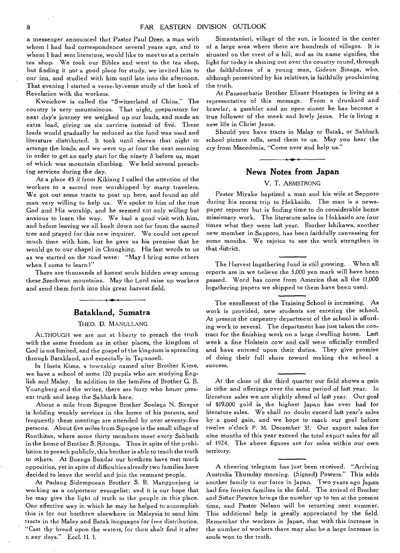a messenger announced that Pastor Paul Dzen, a man with whom I had had correspondence several years ago, and to whom I had sent literature, would like to meet us at a certain tea shop. We took our Bibles and went to the tea shop, but finding it not a good place for study, we invited him to our inn, and studied with him until late into the afternoon. That evening I started a verse-by-verse study of the book of Revelation with the workers.

Kweichow is called the "Switzerland of China." The country is very mountainous. That night, preparatory for next day's journey we weighed up our loads, and made an extra load, giving us six carriers instead of five. These loads would gradually be reduced as the food was used and literature distributed. It took until eleven that night to arrange the loads, and we were up at four the next morning in order to get an early start for the ninety */i* before us, most of which was mountain climbing. We held several preaching services during the day.

At a place 45 *li* from Kikiang I called the attention of the workers to a sacred tree worshipped by many travelers. We got out some tracts to post up here, and found an old man very willing to help us. We spoke to him of the true God and His worship, and he seemed not only willing but anxious to learn the way. We had a good visit with him, and before leaving we ail knelt down not far from the sacred tree and prayed for this new inquirer. We could not spend much time with him, but he gave us his promise that he would go to our chapel in Chungking. His last words to us as we started on the road were: "May I bring some others when I come to learn?"

There are thousands of honest souls hidden away among these Szechwan mountains. May the Lord raise up workers and send them forth into this great harvest field.

#### **Batakland, Sumatra**

#### THEO. D. MANULLANG

ALTHOUGH we are not at liberty to preach the truth with the same freedom as in other places, the kingdom of God is not limited, and the gospel of the kingdom is spreading through Batakland, and especially in Tapanoeli.

In Hoeta Kima, a township named after Brother Kime, we have a school of some 120 pupils who are studying English and Malay. In addition to the families of Brother G. B. Youngberg and the writer, there are forty who honor present truth and keep the Sabbath here.

About a mile from Sipogoe Brother Soelaga N. Siregar is holding weekly services in the home of his parents, and frequently these meetings are attended by over seventy-five persons. About five miles from Sipogoe is the small village of Ronthitan, where some thirty members meet every Sabbath in the home of Brother S. Ritonga. Thus in spite of the prohibition to preach publicly, this brother is able to teach the truth to others. At Boenga Bondar our brethren have met much opposition, yet in spite of difficulties already two families have decided to leave the world and join the remnant people.

At Padang Sidempoean Brother S. B. Manggoejang is working as a colporteur evangelist; and it is our hope that he may give the light of truth to the people in this place. One effective way in which he may be helped to accomplish this is for our brethren elsewhere in Malaysia to send him tracts in the Malay and Batak languages for free distribution. "Cast thy bread upon the waters, for thou shalt find it after n any days." Eccl. 11. 1.

Simantaniari, village of the sun, is located in the center of a large area where there are hundreds of villages. It is situated on the crest of a hill, and as its name signifies, the light for today is shining out over. the country round, through the faithfulness of a young man, Gideon Sinaga, who, although persecuted by his relatives, is faithfully proclaiming the truth.

At Pansoerbatie Brother Elieser Heetapea is living as a representative of this message. From a drunkard and brawler, a gambler and an open sinner he has become a true follower of the meek and lowly Jesus. He is living a new life in Christ Jesus.

Should you have tracts in Malay or Batak, or Sabbath school picture rolls, send them to us. May you hear the cry from Macedonia, "Come over and help us."

#### **News Notes**. **from Japan**

#### V. T. ARMSTRONG

Pastor Miyake baptized a man and his wife at Sapporo during his recent trip to Hokkaido. The man is a newspaper reporter but is finding time to do considerable home missionary work. The literature sales in Hokkaido are four times what they were last year. Brother Ishikawa, another new member in Sapporo, has been faithfully canvassing for some months. We rejoice to see the work strengthen in that district.

The Harvest Ingathering fund is still growing. When all reports are in we believe the 5,000 yen mark will have been passed. Word has come from America that all the 11,000 Ingathering papers we shipped to them have been used.

The enrollment of the Training School is increasing. As work is provided, new students are entering the school. At present the carpentry department of the school is affording work to several. The department has just taken the contract for the finishing work on a large dwelling house. Last week a fine Holstein cow and calf were officially enrolled and have entered upon their duties. They give promise of doing their full share toward making the school a success.

At the close of the third quarter our field shows a gain in tithe and offerings over the same period of last year. In literature sales we are slightly ahead of last year. Our goal of \$19,000 gold is the highest Japan has ever had for literature sales. We shall no doubt exceed last year's sales by a good gain, and we hope to reach our goal before twelve o'clock P. M. December 31. Our export sales for nine months of this year exceed the total export sales for all of 1924. The above figures are for sales within our own territory.

A cheering telegram has just been received. "Arriving Australia Thursday morning. (Signed) Powers." This adds another family to our force in Japan. Two years ago Japan had five foreign families in the field. The arrival of Brother and Sister Powers brings the number up to ten at the present time, and Pastor Nelson will be returning next summer. This additional help is greatly appreciated by the field. Remember the workers in Japan, that with this increase in the number of workers there may also be a large increase in souls won to the truth.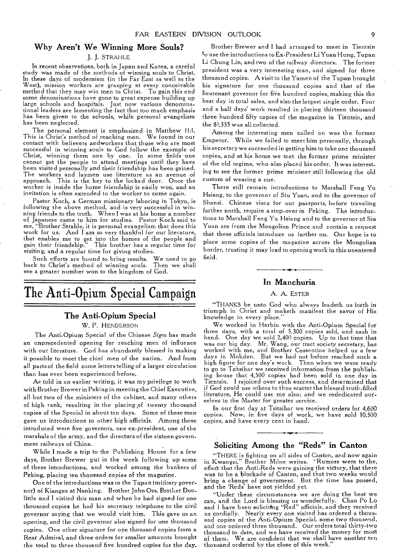#### Why Aren't We Winning More Souls?

#### J. J. STRAHLE

In recent observations, both in. Japan and Korea, a careful study was made of the methods of winning souls to Christ. In these days of modernism (in the Far East as well as the West), mission workers are grasping at every conceivable method that they may win men to Christ. To gain this end some denominations have gone to great expense building up large schools and hospitals. Just now various denominational leaders are lamenting the fact that too much emphasis has been given to the schools, while personal evangelism has been neglected.

The personal element is emphasized in Matthew 11:1. This is Christ's method of reaching men. We found in our contact with believers andworkers that those who are most successful in winning souls to God follow the example of Christ, winning them one by one. In some fields one cannot get the people to attend meetings until they have been visited personally and their friendship has been gained. The workers and laymen use literature as an avenue of approach. This is the key to the locked door. Once the worker is inside the home friendship is easily won, and an invitation is often extended to the worker to come again.

Pastor Koch, a German missionary laboring in Tokyo, is following the above method, and is very successful in winning friends to the truth. When I was at his home a number of Japanese came to him for studies. Pastor Koch said to me, "Brother Strahle, it is personal evangelism that does this work for us. And I am so very thankful for our literature, that enables me to get into the homes of the people and gain their friendship." This brother has a regular time for visiting, and a regular time for giving studies.

Such efforts are bound to bring results. We need to go back to Christ's method of winning souls. Then we shall see a greater number won to the kingdom of God.

## The Anti-Opium Special Campaign

#### The Anti-Opium Special

#### W. P. HENDERSON

The Anti-Opium Special of the Chinese *Signs* has made an unprecedented opening for reaching men of influence with our literature. God has abundantly blessed in making it possible to meet the chief men of the nation. And from all parts of the field come letters telling of a larger circulation than has ever been experienced before.

As told in an earlier writing, it was my privilege to work with Brother Brewer in Peking in meeting the Chief Executive, all but two of the ,ministers of the cabinet, and many others of high rank, resulting in the placing of twenty thousand copies of the Special in about ten days. Some of these men gave us introductions to other high officials. Among those introduced were five governors, one ex•president, one of the marshals of the army, and the directors of the sixteen government railways of China.

While I made a trip to the Publishing House for a few days, Brother Brewer put in the week following up some of these introductions, and worked among the bankers of Peking, placing ten thousand copies of the magazine.

One of the introductions was to the Tupan (military governor) of Kiangsu at Nanking. Brother John Oss, Brother Doolittle and I visited this man and when he had signed for one thousand copies he had his secretary telephone to the civil governor saying that we would visit him. This gave us an opening, and the civil governor also signed for one thousand copies. One other signature for one thousand copies from a Rear Admiral, and three orders for smaller amounts brought the total to three thousand five hundred copies for the day.

Brother Brewer and I had arranged to meet in Tientsin to use the introductions to Ex-President Li Yuan Hung, Tupan Li Chung Lin, and two of the railway directors. The former president was a very interesting man, and signed for three thousand copies. A visit to the Yamen of the Tupan brought his signature for one thousand copies and that of the lieutenant governor for five hundred copies, making this the best day in total sales, and also the largest single order. Four and a half days' work resulted in placing thirteen thousand three hundred fifty copies of the magazine in Tientsin, and the \$1,335 was all collected.

Among the interesting men called on was the former Emperor. While we failed to meet him personally, through his secretary we succeeded in getting him to take one thousand copies, and at his home we met the former prime minister of the old regime, who also placed his order. It was interest. ing to see the former prime minister still following the old custom of wearing a cue.

There still remain introductions to Marshall Feng Yu Hsiang, to the governor of Siu Yuan, and to the governor of Shansi. Chinese vises for our passports, before traveling farther north, require a stop-over in Peking. The introductions to Marshall Feng Yu Hsiang and to the governor of Siu Yuan are from the Mongolian Prince and contain a request that these officials introduce us farther on. Our hope is to place some copies of the magazine across the Mongolian border, trusting it may lead to opening work in this unentered field.

#### In Manchuria

#### A. A. ESTEB

"THANKS be unto God who always leadeth us forth in triumph in Christ and maketh manifest the savor of His knowledge in every place."

We worked in Harbin with the Anti-Opium Special for three days, with a total of 5,300 copies sold, and cash in hand. One day we sold 2,400 copies. Up to that time that was our big day. Mr. Wang, our tract society secretary, has worked with me, and Brother Cossentine helped us a few days in Mukden. But we had not before reached such a high figure for one day's work. Then when we were ready to go to Tsitsihar we received information from the publishing house that 4,500 copies had been sold in one day in Tientsin. I rejoiced over such success, and determined that if God could use others to thus scatter the blessed truth-filled literature, He could use me also; and we rededicated ourselves to the Master for greater service.

In our first day at Tsitsihar we received orders for 4,600 copies. Now, in five days of work, we have sold 10,500 copies, and have every cent in hand.

#### Soliciting Among the "Reds" in Canton

"THERE is fighting on all sides of Canton, and now again in Kwangsi," Brother Milne writes. "Rumors were to the, effect that the Anti-Reds were gaining the victory, that there was to be a blockade of Canton, and that two weeks would bring a change of government. But the time has passed, and the 'Reds' have not yielded yet.

"Under these circumstances we are doing the best we can, and the Lord is blessing us wonderfully. Chan Po Lo and 1 have been soliciting "Red" officials, and they received us cordially. Nearly every one visited has ordered a thousand copies of the Anti-Opium Special, some two thousand, and one ordered three thousand. Our orders total thirty-two thousand to date, and we have received the money for most of them. We are confident that we shall have another ten thousand ordered by the close of this week."